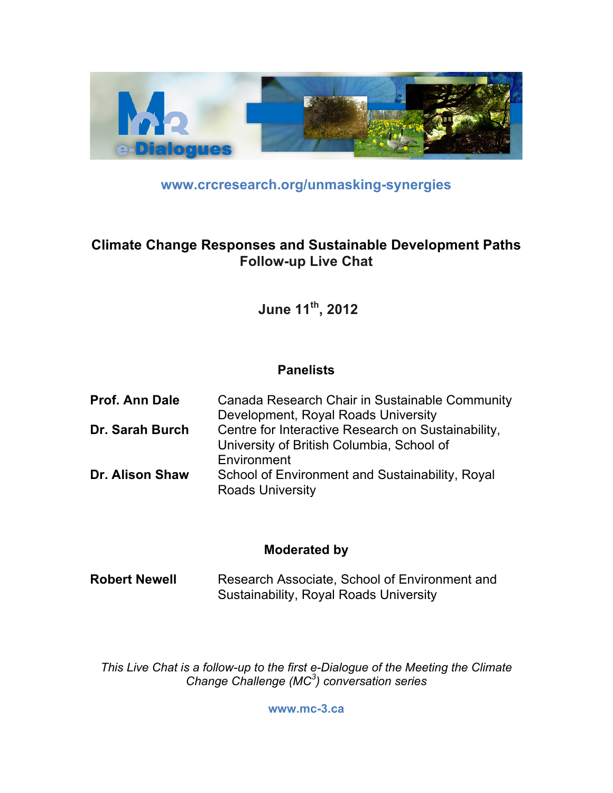

## **www.crcresearch.org/unmasking-synergies**

## **Climate Change Responses and Sustainable Development Paths Follow-up Live Chat**

**June 11th, 2012**

## **Panelists**

| Prof. Ann Dale         | Canada Research Chair in Sustainable Community                                                  |
|------------------------|-------------------------------------------------------------------------------------------------|
|                        | Development, Royal Roads University                                                             |
| Dr. Sarah Burch        | Centre for Interactive Research on Sustainability,<br>University of British Columbia, School of |
|                        | Environment                                                                                     |
| <b>Dr. Alison Shaw</b> | School of Environment and Sustainability, Royal<br><b>Roads University</b>                      |

## **Moderated by**

**Robert Newell** Research Associate, School of Environment and Sustainability, Royal Roads University

*This Live Chat is a follow-up to the first e-Dialogue of the Meeting the Climate Change Challenge (MC3 ) conversation series*

**www.mc-3.ca**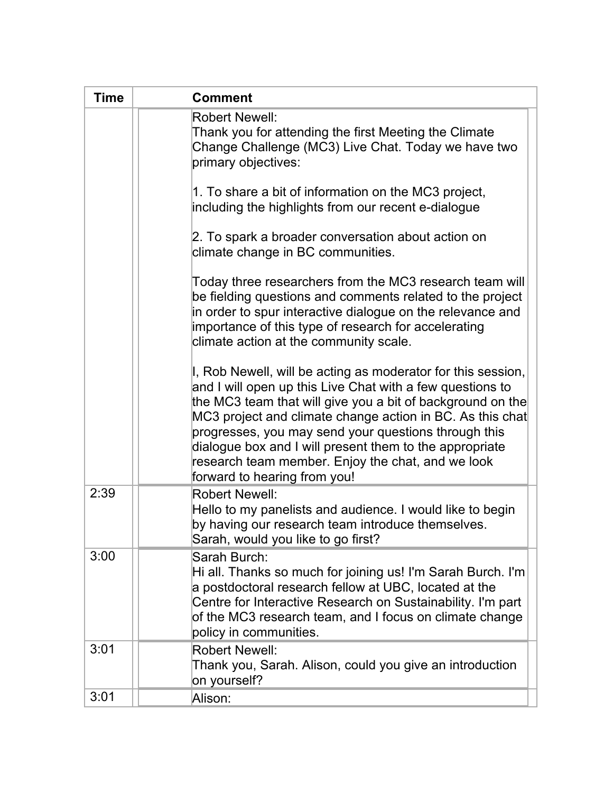| <b>Time</b> | <b>Comment</b>                                                                                                                                                                                                                                                                                                                                                                                                                                               |
|-------------|--------------------------------------------------------------------------------------------------------------------------------------------------------------------------------------------------------------------------------------------------------------------------------------------------------------------------------------------------------------------------------------------------------------------------------------------------------------|
|             | <b>Robert Newell:</b><br>Thank you for attending the first Meeting the Climate<br>Change Challenge (MC3) Live Chat. Today we have two<br>primary objectives:                                                                                                                                                                                                                                                                                                 |
|             | 1. To share a bit of information on the MC3 project,<br>including the highlights from our recent e-dialogue                                                                                                                                                                                                                                                                                                                                                  |
|             | 2. To spark a broader conversation about action on<br>climate change in BC communities.                                                                                                                                                                                                                                                                                                                                                                      |
|             | Today three researchers from the MC3 research team will<br>be fielding questions and comments related to the project<br>in order to spur interactive dialogue on the relevance and<br>importance of this type of research for accelerating<br>climate action at the community scale.                                                                                                                                                                         |
|             | I, Rob Newell, will be acting as moderator for this session,<br>and I will open up this Live Chat with a few questions to<br>the MC3 team that will give you a bit of background on the<br>MC3 project and climate change action in BC. As this chat<br>progresses, you may send your questions through this<br>dialogue box and I will present them to the appropriate<br>research team member. Enjoy the chat, and we look<br>forward to hearing from you! |
| 2:39        | <b>Robert Newell:</b><br>Hello to my panelists and audience. I would like to begin<br>by having our research team introduce themselves.<br>Sarah, would you like to go first?                                                                                                                                                                                                                                                                                |
| 3:00        | Sarah Burch:<br>Hi all. Thanks so much for joining us! I'm Sarah Burch. I'm<br>a postdoctoral research fellow at UBC, located at the<br>Centre for Interactive Research on Sustainability. I'm part<br>of the MC3 research team, and I focus on climate change<br>policy in communities.                                                                                                                                                                     |
| 3:01        | <b>Robert Newell:</b><br>Thank you, Sarah. Alison, could you give an introduction<br>on yourself?                                                                                                                                                                                                                                                                                                                                                            |
| 3:01        | Alison:                                                                                                                                                                                                                                                                                                                                                                                                                                                      |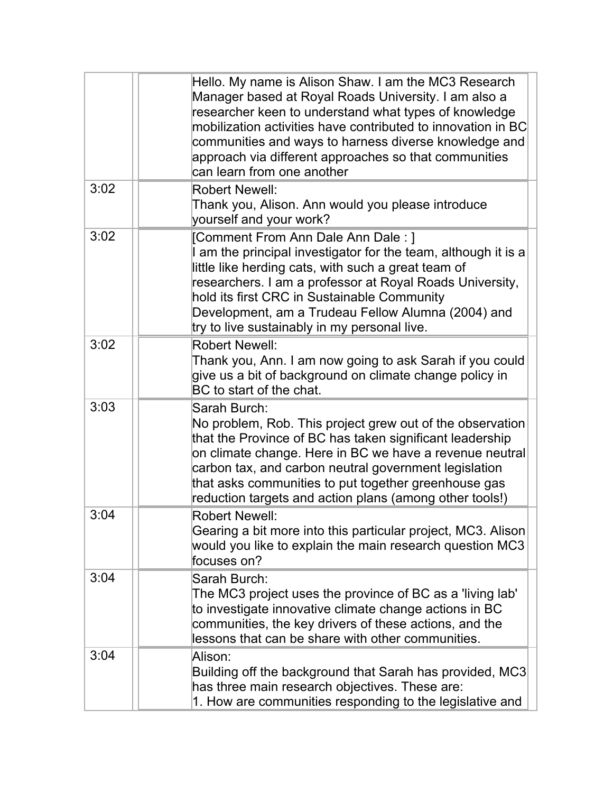|      | Hello. My name is Alison Shaw. I am the MC3 Research<br>Manager based at Royal Roads University. I am also a<br>researcher keen to understand what types of knowledge<br>mobilization activities have contributed to innovation in BC<br>communities and ways to harness diverse knowledge and<br>approach via different approaches so that communities<br>can learn from one another |
|------|---------------------------------------------------------------------------------------------------------------------------------------------------------------------------------------------------------------------------------------------------------------------------------------------------------------------------------------------------------------------------------------|
| 3:02 | <b>Robert Newell:</b><br>Thank you, Alison. Ann would you please introduce<br>yourself and your work?                                                                                                                                                                                                                                                                                 |
| 3:02 | [Comment From Ann Dale Ann Dale : ]<br>I am the principal investigator for the team, although it is a<br>little like herding cats, with such a great team of<br>researchers. I am a professor at Royal Roads University,<br>hold its first CRC in Sustainable Community<br>Development, am a Trudeau Fellow Alumna (2004) and<br>try to live sustainably in my personal live.         |
| 3:02 | <b>Robert Newell:</b><br>Thank you, Ann. I am now going to ask Sarah if you could<br>give us a bit of background on climate change policy in<br>BC to start of the chat.                                                                                                                                                                                                              |
| 3:03 | Sarah Burch:<br>No problem, Rob. This project grew out of the observation<br>that the Province of BC has taken significant leadership<br>on climate change. Here in BC we have a revenue neutral<br>carbon tax, and carbon neutral government legislation<br>that asks communities to put together greenhouse gas<br>reduction targets and action plans (among other tools!)          |
| 3:04 | <b>Robert Newell:</b><br>Gearing a bit more into this particular project, MC3. Alison<br>would you like to explain the main research question MC3<br>focuses on?                                                                                                                                                                                                                      |
| 3:04 | Sarah Burch:<br>The MC3 project uses the province of BC as a 'living lab'<br>to investigate innovative climate change actions in BC<br>communities, the key drivers of these actions, and the<br>lessons that can be share with other communities.                                                                                                                                    |
| 3:04 | Alison:<br>Building off the background that Sarah has provided, MC3<br>has three main research objectives. These are:<br>1. How are communities responding to the legislative and                                                                                                                                                                                                     |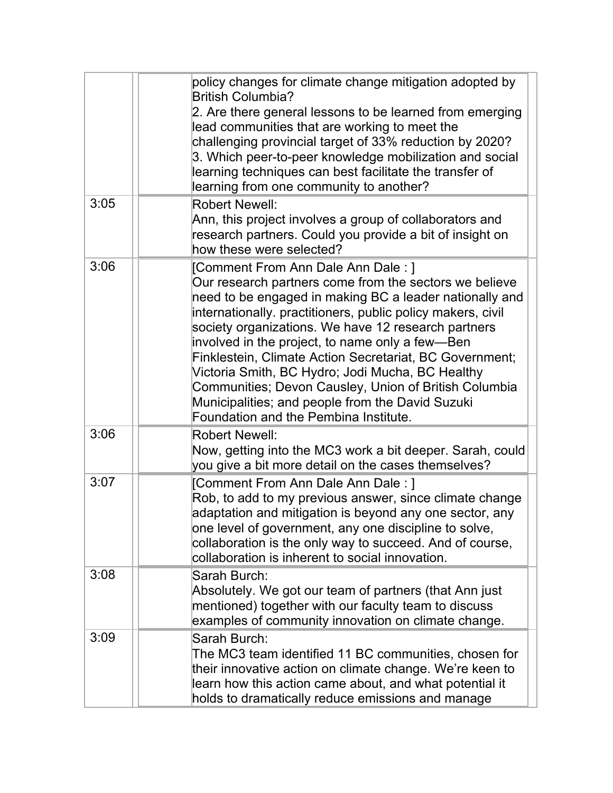|      | policy changes for climate change mitigation adopted by<br><b>British Columbia?</b><br>2. Are there general lessons to be learned from emerging<br>lead communities that are working to meet the<br>challenging provincial target of 33% reduction by 2020?<br>3. Which peer-to-peer knowledge mobilization and social<br>learning techniques can best facilitate the transfer of<br>learning from one community to another?                                                                                                                                                                           |
|------|--------------------------------------------------------------------------------------------------------------------------------------------------------------------------------------------------------------------------------------------------------------------------------------------------------------------------------------------------------------------------------------------------------------------------------------------------------------------------------------------------------------------------------------------------------------------------------------------------------|
| 3:05 | <b>Robert Newell:</b><br>Ann, this project involves a group of collaborators and<br>research partners. Could you provide a bit of insight on<br>how these were selected?                                                                                                                                                                                                                                                                                                                                                                                                                               |
| 3:06 | [Comment From Ann Dale Ann Dale : ]<br>Our research partners come from the sectors we believe<br>need to be engaged in making BC a leader nationally and<br>internationally. practitioners, public policy makers, civil<br>society organizations. We have 12 research partners<br>involved in the project, to name only a few—Ben<br>Finklestein, Climate Action Secretariat, BC Government;<br>Victoria Smith, BC Hydro; Jodi Mucha, BC Healthy<br>Communities; Devon Causley, Union of British Columbia<br>Municipalities; and people from the David Suzuki<br>Foundation and the Pembina Institute. |
| 3:06 | <b>Robert Newell:</b><br>Now, getting into the MC3 work a bit deeper. Sarah, could<br>you give a bit more detail on the cases themselves?                                                                                                                                                                                                                                                                                                                                                                                                                                                              |
| 3:07 | [Comment From Ann Dale Ann Dale: ]<br>Rob, to add to my previous answer, since climate change<br>adaptation and mitigation is beyond any one sector, any<br>one level of government, any one discipline to solve,<br>collaboration is the only way to succeed. And of course,<br>collaboration is inherent to social innovation.                                                                                                                                                                                                                                                                       |
| 3:08 | Sarah Burch:<br>Absolutely. We got our team of partners (that Ann just<br>mentioned) together with our faculty team to discuss<br>examples of community innovation on climate change.                                                                                                                                                                                                                                                                                                                                                                                                                  |
| 3:09 | Sarah Burch:<br>The MC3 team identified 11 BC communities, chosen for<br>their innovative action on climate change. We're keen to<br>learn how this action came about, and what potential it<br>holds to dramatically reduce emissions and manage                                                                                                                                                                                                                                                                                                                                                      |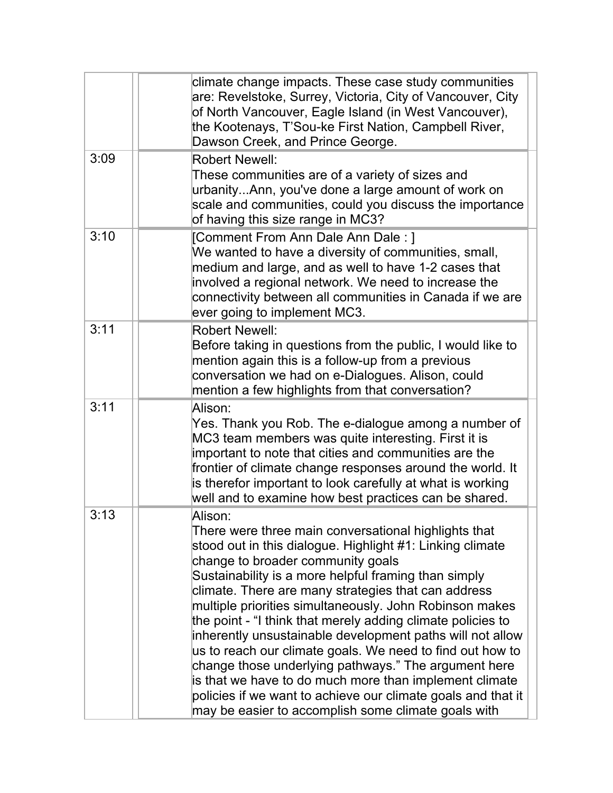|      | climate change impacts. These case study communities<br>are: Revelstoke, Surrey, Victoria, City of Vancouver, City<br>of North Vancouver, Eagle Island (in West Vancouver),<br>the Kootenays, T'Sou-ke First Nation, Campbell River,<br>Dawson Creek, and Prince George.                                                                                                                                                                                                                                                                                                                                                                                                                                                                                                      |
|------|-------------------------------------------------------------------------------------------------------------------------------------------------------------------------------------------------------------------------------------------------------------------------------------------------------------------------------------------------------------------------------------------------------------------------------------------------------------------------------------------------------------------------------------------------------------------------------------------------------------------------------------------------------------------------------------------------------------------------------------------------------------------------------|
| 3:09 | <b>Robert Newell:</b><br>These communities are of a variety of sizes and<br>urbanityAnn, you've done a large amount of work on<br>scale and communities, could you discuss the importance<br>of having this size range in MC3?                                                                                                                                                                                                                                                                                                                                                                                                                                                                                                                                                |
| 3:10 | [Comment From Ann Dale Ann Dale : ]<br>We wanted to have a diversity of communities, small,<br>medium and large, and as well to have 1-2 cases that<br>involved a regional network. We need to increase the<br>connectivity between all communities in Canada if we are<br>ever going to implement MC3.                                                                                                                                                                                                                                                                                                                                                                                                                                                                       |
| 3:11 | <b>Robert Newell:</b><br>Before taking in questions from the public, I would like to<br>mention again this is a follow-up from a previous<br>conversation we had on e-Dialogues. Alison, could<br>mention a few highlights from that conversation?                                                                                                                                                                                                                                                                                                                                                                                                                                                                                                                            |
| 3:11 | Alison:<br>Yes. Thank you Rob. The e-dialogue among a number of<br>MC3 team members was quite interesting. First it is<br>important to note that cities and communities are the<br>frontier of climate change responses around the world. It<br>is therefor important to look carefully at what is working<br>well and to examine how best practices can be shared.                                                                                                                                                                                                                                                                                                                                                                                                           |
| 3:13 | Alison:<br>There were three main conversational highlights that<br>stood out in this dialogue. Highlight #1: Linking climate<br>change to broader community goals<br>Sustainability is a more helpful framing than simply<br>climate. There are many strategies that can address<br>multiple priorities simultaneously. John Robinson makes<br>the point - "I think that merely adding climate policies to<br>inherently unsustainable development paths will not allow<br>us to reach our climate goals. We need to find out how to<br>change those underlying pathways." The argument here<br>is that we have to do much more than implement climate<br>policies if we want to achieve our climate goals and that it<br>may be easier to accomplish some climate goals with |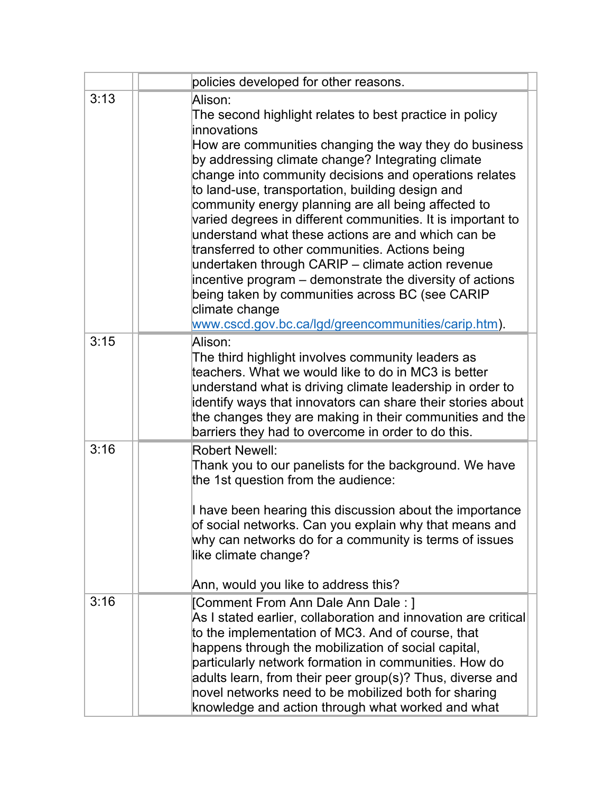|      | policies developed for other reasons.                                                                                                                                                                                                                                                                                                                                                                                                                                                                                                                                                                                                                                                                                                                                                     |
|------|-------------------------------------------------------------------------------------------------------------------------------------------------------------------------------------------------------------------------------------------------------------------------------------------------------------------------------------------------------------------------------------------------------------------------------------------------------------------------------------------------------------------------------------------------------------------------------------------------------------------------------------------------------------------------------------------------------------------------------------------------------------------------------------------|
| 3:13 | Alison:<br>The second highlight relates to best practice in policy<br>innovations<br>How are communities changing the way they do business<br>by addressing climate change? Integrating climate<br>change into community decisions and operations relates<br>to land-use, transportation, building design and<br>community energy planning are all being affected to<br>varied degrees in different communities. It is important to<br>understand what these actions are and which can be<br>transferred to other communities. Actions being<br>undertaken through CARIP - climate action revenue<br>incentive program – demonstrate the diversity of actions<br>being taken by communities across BC (see CARIP<br>climate change<br>www.cscd.gov.bc.ca/lgd/greencommunities/carip.htm). |
| 3:15 | Alison:<br>The third highlight involves community leaders as<br>teachers. What we would like to do in MC3 is better<br>understand what is driving climate leadership in order to<br>identify ways that innovators can share their stories about<br>the changes they are making in their communities and the<br>barriers they had to overcome in order to do this.                                                                                                                                                                                                                                                                                                                                                                                                                         |
| 3:16 | <b>Robert Newell:</b><br>Thank you to our panelists for the background. We have<br>the 1st question from the audience:<br>I have been hearing this discussion about the importance<br>of social networks. Can you explain why that means and<br>why can networks do for a community is terms of issues<br>like climate change?<br>Ann, would you like to address this?                                                                                                                                                                                                                                                                                                                                                                                                                    |
| 3:16 | [Comment From Ann Dale Ann Dale : ]<br>As I stated earlier, collaboration and innovation are critical<br>to the implementation of MC3. And of course, that<br>happens through the mobilization of social capital,<br>particularly network formation in communities. How do<br>adults learn, from their peer group(s)? Thus, diverse and<br>novel networks need to be mobilized both for sharing<br>knowledge and action through what worked and what                                                                                                                                                                                                                                                                                                                                      |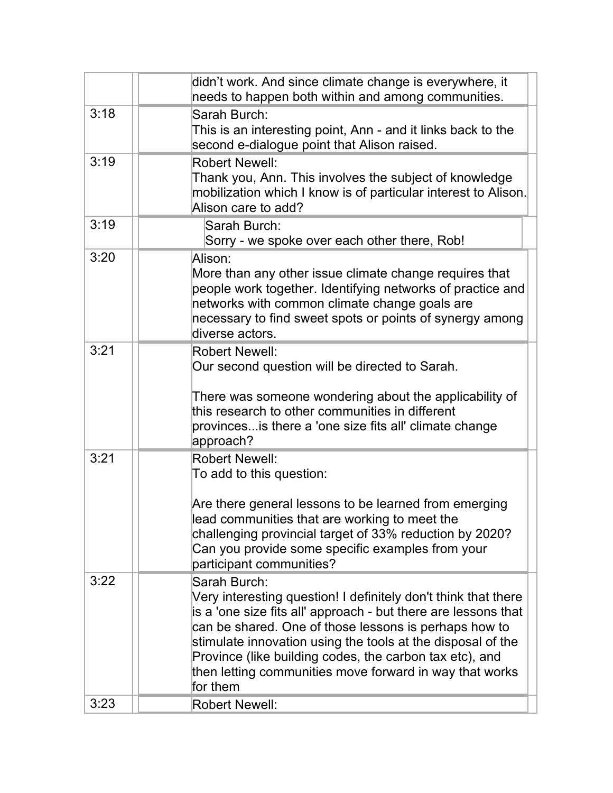|      | didn't work. And since climate change is everywhere, it<br>needs to happen both within and among communities.                                                                                                                                                                                                                                                                                              |
|------|------------------------------------------------------------------------------------------------------------------------------------------------------------------------------------------------------------------------------------------------------------------------------------------------------------------------------------------------------------------------------------------------------------|
| 3:18 | Sarah Burch:<br>This is an interesting point, Ann - and it links back to the<br>second e-dialogue point that Alison raised.                                                                                                                                                                                                                                                                                |
| 3:19 | <b>Robert Newell:</b><br>Thank you, Ann. This involves the subject of knowledge<br>mobilization which I know is of particular interest to Alison.<br>Alison care to add?                                                                                                                                                                                                                                   |
| 3:19 | Sarah Burch:<br>Sorry - we spoke over each other there, Rob!                                                                                                                                                                                                                                                                                                                                               |
| 3:20 | Alison:<br>More than any other issue climate change requires that<br>people work together. Identifying networks of practice and<br>networks with common climate change goals are<br>necessary to find sweet spots or points of synergy among<br>diverse actors.                                                                                                                                            |
| 3:21 | <b>Robert Newell:</b><br>Our second question will be directed to Sarah.<br>There was someone wondering about the applicability of<br>this research to other communities in different<br>provinces is there a 'one size fits all' climate change<br>approach?                                                                                                                                               |
| 3:21 | <b>Robert Newell:</b><br>To add to this question:<br>Are there general lessons to be learned from emerging<br>lead communities that are working to meet the<br>challenging provincial target of 33% reduction by 2020?<br>Can you provide some specific examples from your<br>participant communities?                                                                                                     |
| 3:22 | Sarah Burch:<br>Very interesting question! I definitely don't think that there<br>is a 'one size fits all' approach - but there are lessons that<br>can be shared. One of those lessons is perhaps how to<br>stimulate innovation using the tools at the disposal of the<br>Province (like building codes, the carbon tax etc), and<br>then letting communities move forward in way that works<br>for them |
| 3:23 | <b>Robert Newell:</b>                                                                                                                                                                                                                                                                                                                                                                                      |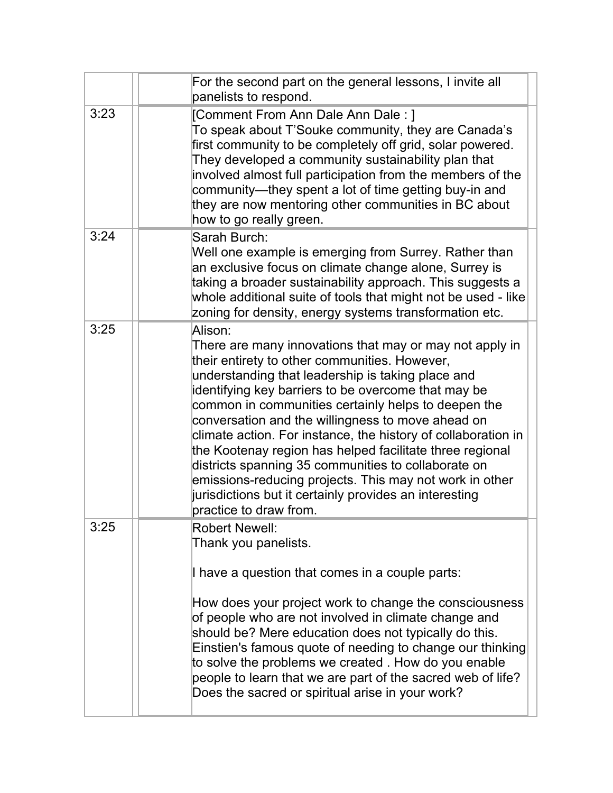|      | For the second part on the general lessons, I invite all<br>panelists to respond.                                                                                                                                                                                                                                                                                                                                                                                                                                                                                                                                                                                              |
|------|--------------------------------------------------------------------------------------------------------------------------------------------------------------------------------------------------------------------------------------------------------------------------------------------------------------------------------------------------------------------------------------------------------------------------------------------------------------------------------------------------------------------------------------------------------------------------------------------------------------------------------------------------------------------------------|
| 3:23 | [Comment From Ann Dale Ann Dale : ]<br>To speak about T'Souke community, they are Canada's<br>first community to be completely off grid, solar powered.<br>They developed a community sustainability plan that<br>involved almost full participation from the members of the<br>community—they spent a lot of time getting buy-in and<br>they are now mentoring other communities in BC about<br>how to go really green.                                                                                                                                                                                                                                                       |
| 3:24 | Sarah Burch:<br>Well one example is emerging from Surrey. Rather than<br>an exclusive focus on climate change alone, Surrey is<br>taking a broader sustainability approach. This suggests a<br>whole additional suite of tools that might not be used - like<br>zoning for density, energy systems transformation etc.                                                                                                                                                                                                                                                                                                                                                         |
| 3:25 | Alison:<br>There are many innovations that may or may not apply in<br>their entirety to other communities. However,<br>understanding that leadership is taking place and<br>identifying key barriers to be overcome that may be<br>common in communities certainly helps to deepen the<br>conversation and the willingness to move ahead on<br>climate action. For instance, the history of collaboration in<br>the Kootenay region has helped facilitate three regional<br>districts spanning 35 communities to collaborate on<br>emissions-reducing projects. This may not work in other<br>jurisdictions but it certainly provides an interesting<br>practice to draw from. |
| 3:25 | <b>Robert Newell:</b><br>Thank you panelists.<br>I have a question that comes in a couple parts:<br>How does your project work to change the consciousness                                                                                                                                                                                                                                                                                                                                                                                                                                                                                                                     |
|      | of people who are not involved in climate change and<br>should be? Mere education does not typically do this.<br>Einstien's famous quote of needing to change our thinking<br>to solve the problems we created. How do you enable<br>people to learn that we are part of the sacred web of life?<br>Does the sacred or spiritual arise in your work?                                                                                                                                                                                                                                                                                                                           |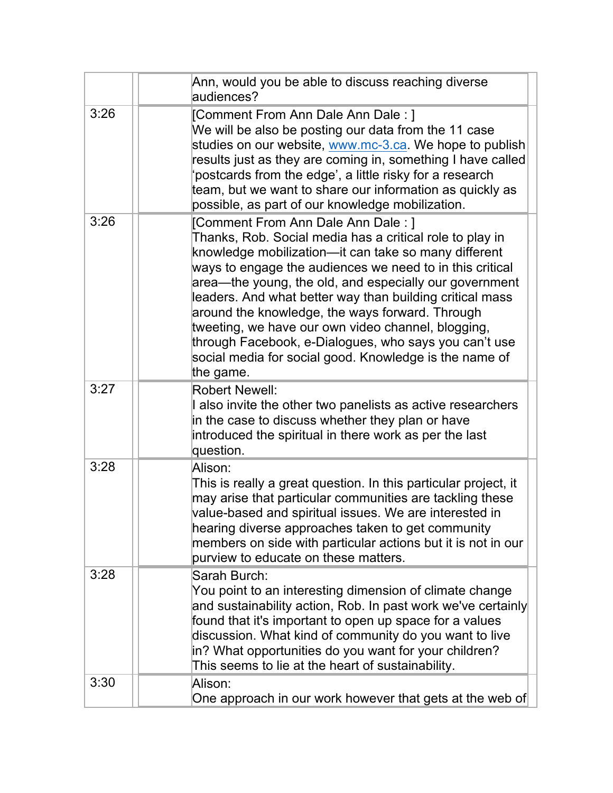|      | Ann, would you be able to discuss reaching diverse<br>audiences?                                                                                                                                                                                                                                                                                                                                                                                                                                                                                                                  |
|------|-----------------------------------------------------------------------------------------------------------------------------------------------------------------------------------------------------------------------------------------------------------------------------------------------------------------------------------------------------------------------------------------------------------------------------------------------------------------------------------------------------------------------------------------------------------------------------------|
| 3:26 | [Comment From Ann Dale Ann Dale : ]<br>We will be also be posting our data from the 11 case<br>studies on our website, www.mc-3.ca. We hope to publish<br>results just as they are coming in, something I have called<br>postcards from the edge', a little risky for a research<br>team, but we want to share our information as quickly as<br>possible, as part of our knowledge mobilization.                                                                                                                                                                                  |
| 3:26 | [Comment From Ann Dale Ann Dale: ]<br>Thanks, Rob. Social media has a critical role to play in<br>knowledge mobilization-it can take so many different<br>ways to engage the audiences we need to in this critical<br>area—the young, the old, and especially our government<br>leaders. And what better way than building critical mass<br>around the knowledge, the ways forward. Through<br>tweeting, we have our own video channel, blogging,<br>through Facebook, e-Dialogues, who says you can't use<br>social media for social good. Knowledge is the name of<br>the game. |
| 3:27 | <b>Robert Newell:</b><br>I also invite the other two panelists as active researchers<br>in the case to discuss whether they plan or have<br>introduced the spiritual in there work as per the last<br>question.                                                                                                                                                                                                                                                                                                                                                                   |
| 3:28 | Alison:<br>This is really a great question. In this particular project, it<br>may arise that particular communities are tackling these<br>value-based and spiritual issues. We are interested in<br>hearing diverse approaches taken to get community<br>members on side with particular actions but it is not in our<br>purview to educate on these matters.                                                                                                                                                                                                                     |
| 3:28 | Sarah Burch:<br>You point to an interesting dimension of climate change<br>and sustainability action, Rob. In past work we've certainly<br>found that it's important to open up space for a values<br>discussion. What kind of community do you want to live<br>in? What opportunities do you want for your children?<br>This seems to lie at the heart of sustainability.                                                                                                                                                                                                        |
| 3:30 | Alison:<br>One approach in our work however that gets at the web of                                                                                                                                                                                                                                                                                                                                                                                                                                                                                                               |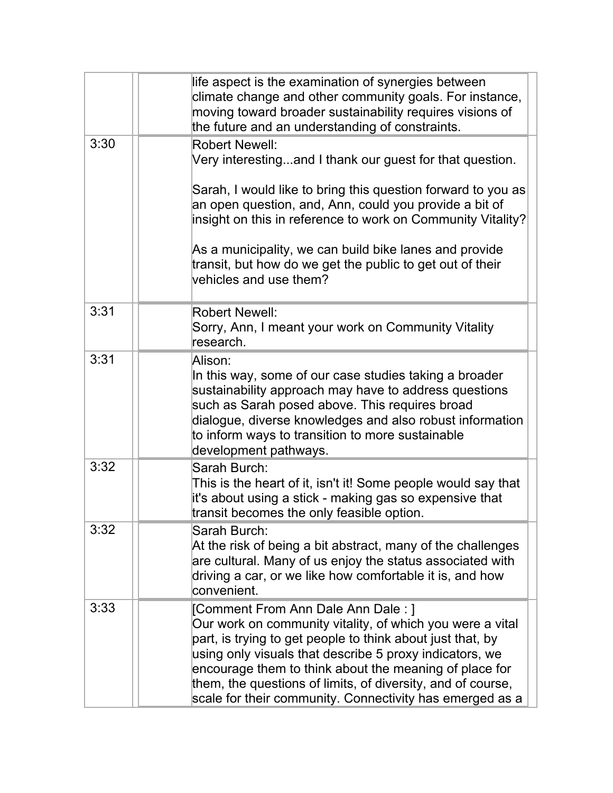|      | life aspect is the examination of synergies between<br>climate change and other community goals. For instance,<br>moving toward broader sustainability requires visions of<br>the future and an understanding of constraints.                                                                                                                                                                                               |
|------|-----------------------------------------------------------------------------------------------------------------------------------------------------------------------------------------------------------------------------------------------------------------------------------------------------------------------------------------------------------------------------------------------------------------------------|
| 3:30 | <b>Robert Newell:</b><br>Very interestingand I thank our guest for that question.<br>Sarah, I would like to bring this question forward to you as<br>an open question, and, Ann, could you provide a bit of<br>insight on this in reference to work on Community Vitality?<br>As a municipality, we can build bike lanes and provide<br>transit, but how do we get the public to get out of their<br>vehicles and use them? |
| 3:31 | <b>Robert Newell:</b><br>Sorry, Ann, I meant your work on Community Vitality<br>research.                                                                                                                                                                                                                                                                                                                                   |
| 3:31 | Alison:<br>In this way, some of our case studies taking a broader<br>sustainability approach may have to address questions<br>such as Sarah posed above. This requires broad<br>dialogue, diverse knowledges and also robust information<br>to inform ways to transition to more sustainable<br>development pathways.                                                                                                       |
| 3:32 | Sarah Burch:<br>This is the heart of it, isn't it! Some people would say that<br>it's about using a stick - making gas so expensive that<br>transit becomes the only feasible option.                                                                                                                                                                                                                                       |
| 3:32 | Sarah Burch:<br>At the risk of being a bit abstract, many of the challenges<br>are cultural. Many of us enjoy the status associated with<br>driving a car, or we like how comfortable it is, and how<br>convenient.                                                                                                                                                                                                         |
| 3:33 | [Comment From Ann Dale Ann Dale : ]<br>Our work on community vitality, of which you were a vital<br>part, is trying to get people to think about just that, by<br>using only visuals that describe 5 proxy indicators, we<br>encourage them to think about the meaning of place for<br>them, the questions of limits, of diversity, and of course,<br>scale for their community. Connectivity has emerged as a              |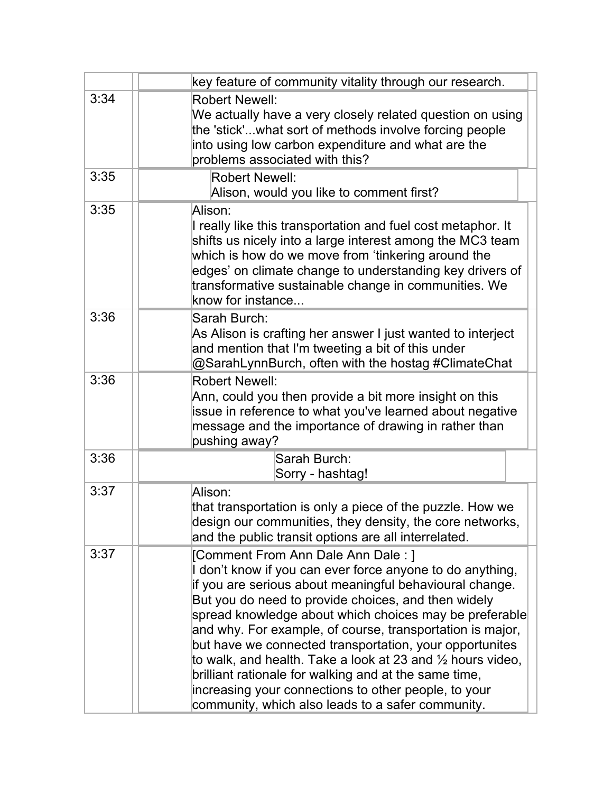|      | key feature of community vitality through our research.                                                                                                                                                                                                                                                                                                                                                                                                                                                                                                                                                                                            |
|------|----------------------------------------------------------------------------------------------------------------------------------------------------------------------------------------------------------------------------------------------------------------------------------------------------------------------------------------------------------------------------------------------------------------------------------------------------------------------------------------------------------------------------------------------------------------------------------------------------------------------------------------------------|
| 3:34 | <b>Robert Newell:</b><br>We actually have a very closely related question on using<br>the 'stick'what sort of methods involve forcing people<br>into using low carbon expenditure and what are the<br>problems associated with this?                                                                                                                                                                                                                                                                                                                                                                                                               |
| 3:35 | <b>Robert Newell:</b><br>Alison, would you like to comment first?                                                                                                                                                                                                                                                                                                                                                                                                                                                                                                                                                                                  |
| 3:35 | Alison:<br>I really like this transportation and fuel cost metaphor. It<br>shifts us nicely into a large interest among the MC3 team<br>which is how do we move from 'tinkering around the<br>edges' on climate change to understanding key drivers of<br>transformative sustainable change in communities. We<br>know for instance                                                                                                                                                                                                                                                                                                                |
| 3:36 | Sarah Burch:<br>As Alison is crafting her answer I just wanted to interject<br>and mention that I'm tweeting a bit of this under<br>@SarahLynnBurch, often with the hostag #ClimateChat                                                                                                                                                                                                                                                                                                                                                                                                                                                            |
| 3:36 | <b>Robert Newell:</b><br>Ann, could you then provide a bit more insight on this<br>issue in reference to what you've learned about negative<br>message and the importance of drawing in rather than<br>pushing away?                                                                                                                                                                                                                                                                                                                                                                                                                               |
| 3:36 | Sarah Burch:<br>Sorry - hashtag!                                                                                                                                                                                                                                                                                                                                                                                                                                                                                                                                                                                                                   |
| 3:37 | Alison:<br>that transportation is only a piece of the puzzle. How we<br>design our communities, they density, the core networks,<br>and the public transit options are all interrelated.                                                                                                                                                                                                                                                                                                                                                                                                                                                           |
| 3:37 | [Comment From Ann Dale Ann Dale: ]<br>I don't know if you can ever force anyone to do anything,<br>if you are serious about meaningful behavioural change.<br>But you do need to provide choices, and then widely<br>spread knowledge about which choices may be preferable<br>and why. For example, of course, transportation is major,<br>but have we connected transportation, your opportunites<br>to walk, and health. Take a look at 23 and $\frac{1}{2}$ hours video,<br>brilliant rationale for walking and at the same time,<br>increasing your connections to other people, to your<br>community, which also leads to a safer community. |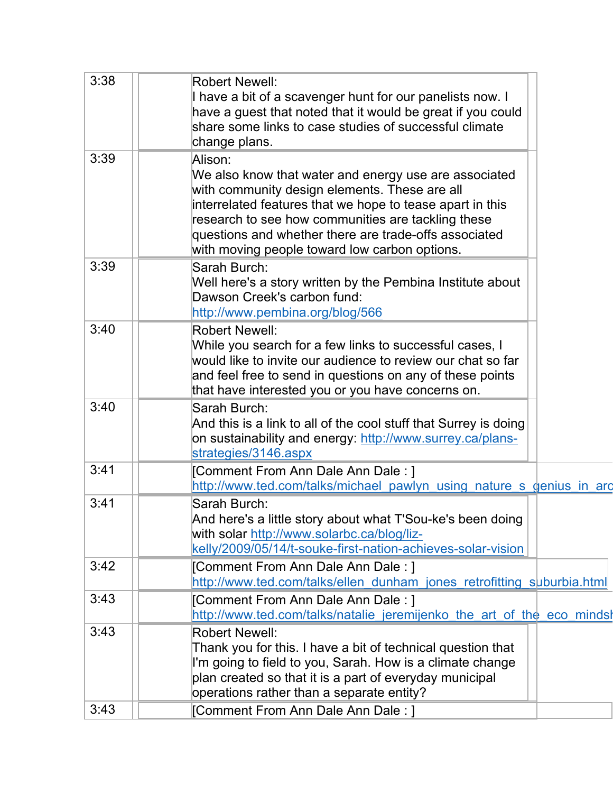| And here's a little story about what T'Sou-ke's been doing<br>with solar http://www.solarbc.ca/blog/liz-<br>kelly/2009/05/14/t-souke-first-nation-achieves-solar-vision<br>[Comment From Ann Dale Ann Dale: ]<br>http://www.ted.com/talks/ellen_dunham_jones_retrofitting_suburbia.html<br>[Comment From Ann Dale Ann Dale: ]<br>http://www.ted.com/talks/natalie_jeremijenko_the_art_of_the_eco_mindsl<br><b>Robert Newell:</b><br>Thank you for this. I have a bit of technical question that<br>I'm going to field to you, Sarah. How is a climate change<br>plan created so that it is a part of everyday municipal<br>operations rather than a separate entity?<br>[Comment From Ann Dale Ann Dale : ] |                      |
|-------------------------------------------------------------------------------------------------------------------------------------------------------------------------------------------------------------------------------------------------------------------------------------------------------------------------------------------------------------------------------------------------------------------------------------------------------------------------------------------------------------------------------------------------------------------------------------------------------------------------------------------------------------------------------------------------------------|----------------------|
|                                                                                                                                                                                                                                                                                                                                                                                                                                                                                                                                                                                                                                                                                                             |                      |
|                                                                                                                                                                                                                                                                                                                                                                                                                                                                                                                                                                                                                                                                                                             |                      |
|                                                                                                                                                                                                                                                                                                                                                                                                                                                                                                                                                                                                                                                                                                             |                      |
| Sarah Burch:                                                                                                                                                                                                                                                                                                                                                                                                                                                                                                                                                                                                                                                                                                |                      |
| [Comment From Ann Dale Ann Dale : ]<br>http://www.ted.com/talks/michael_pawlyn_using_nature_s_genius_in_arc                                                                                                                                                                                                                                                                                                                                                                                                                                                                                                                                                                                                 |                      |
| Sarah Burch:<br>And this is a link to all of the cool stuff that Surrey is doing<br>on sustainability and energy: http://www.surrey.ca/plans-                                                                                                                                                                                                                                                                                                                                                                                                                                                                                                                                                               |                      |
| <b>Robert Newell:</b><br>While you search for a few links to successful cases, I<br>would like to invite our audience to review our chat so far<br>and feel free to send in questions on any of these points<br>that have interested you or you have concerns on.                                                                                                                                                                                                                                                                                                                                                                                                                                           |                      |
| Sarah Burch:<br>Well here's a story written by the Pembina Institute about<br>Dawson Creek's carbon fund:<br>http://www.pembina.org/blog/566                                                                                                                                                                                                                                                                                                                                                                                                                                                                                                                                                                |                      |
| Alison:<br>We also know that water and energy use are associated<br>with community design elements. These are all<br>interrelated features that we hope to tease apart in this<br>research to see how communities are tackling these<br>questions and whether there are trade-offs associated<br>with moving people toward low carbon options.                                                                                                                                                                                                                                                                                                                                                              |                      |
| <b>Robert Newell:</b><br>I have a bit of a scavenger hunt for our panelists now. I<br>have a guest that noted that it would be great if you could<br>share some links to case studies of successful climate<br>change plans.                                                                                                                                                                                                                                                                                                                                                                                                                                                                                |                      |
|                                                                                                                                                                                                                                                                                                                                                                                                                                                                                                                                                                                                                                                                                                             | strategies/3146.aspx |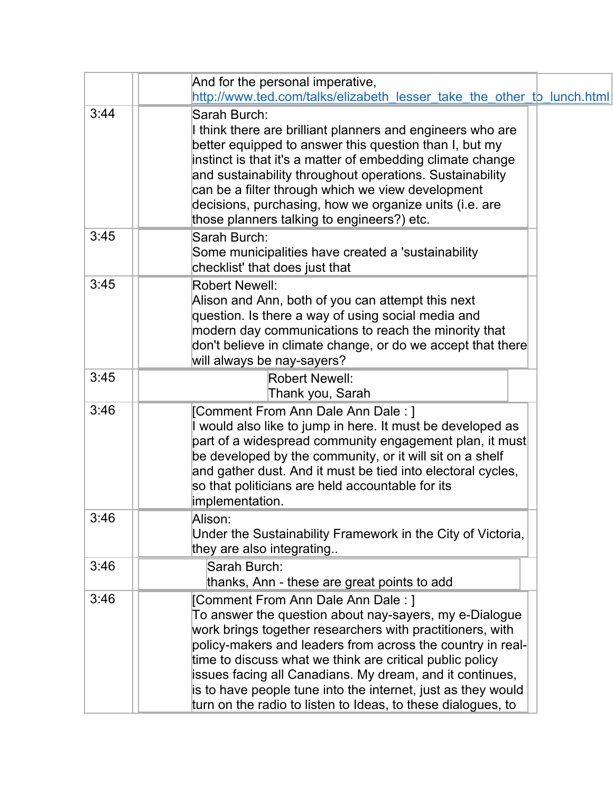|      | And for the personal imperative,<br>http://www.ted.com/talks/elizabeth lesser take the other to lunch.html                                                                                                                                                                                                                                                                                                                                                                      |  |
|------|---------------------------------------------------------------------------------------------------------------------------------------------------------------------------------------------------------------------------------------------------------------------------------------------------------------------------------------------------------------------------------------------------------------------------------------------------------------------------------|--|
| 3:44 | Sarah Burch:<br>I think there are brilliant planners and engineers who are<br>better equipped to answer this question than I, but my<br>instinct is that it's a matter of embedding climate change<br>and sustainability throughout operations. Sustainability<br>can be a filter through which we view development<br>decisions, purchasing, how we organize units (i.e. are<br>those planners talking to engineers?) etc.                                                     |  |
| 3:45 | Sarah Burch:<br>Some municipalities have created a 'sustainability<br>checklist' that does just that                                                                                                                                                                                                                                                                                                                                                                            |  |
| 3:45 | <b>Robert Newell:</b><br>Alison and Ann, both of you can attempt this next<br>question. Is there a way of using social media and<br>modern day communications to reach the minority that<br>don't believe in climate change, or do we accept that there<br>will always be nay-sayers?                                                                                                                                                                                           |  |
| 3:45 | Robert Newell:<br>Thank you, Sarah                                                                                                                                                                                                                                                                                                                                                                                                                                              |  |
| 3:46 | [Comment From Ann Dale Ann Dale : ]<br>I would also like to jump in here. It must be developed as<br>part of a widespread community engagement plan, it must<br>be developed by the community, or it will sit on a shelf<br>and gather dust. And it must be tied into electoral cycles,<br>so that politicians are held accountable for its<br>implementation.                                                                                                                  |  |
| 3:46 | Alison:<br>Under the Sustainability Framework in the City of Victoria,<br>they are also integrating                                                                                                                                                                                                                                                                                                                                                                             |  |
| 3:46 | Sarah Burch:<br>thanks, Ann - these are great points to add                                                                                                                                                                                                                                                                                                                                                                                                                     |  |
| 3:46 | [Comment From Ann Dale Ann Dale: ]<br>To answer the question about nay-sayers, my e-Dialogue<br>work brings together researchers with practitioners, with<br>policy-makers and leaders from across the country in real-<br>time to discuss what we think are critical public policy<br>issues facing all Canadians. My dream, and it continues,<br>is to have people tune into the internet, just as they would<br>turn on the radio to listen to Ideas, to these dialogues, to |  |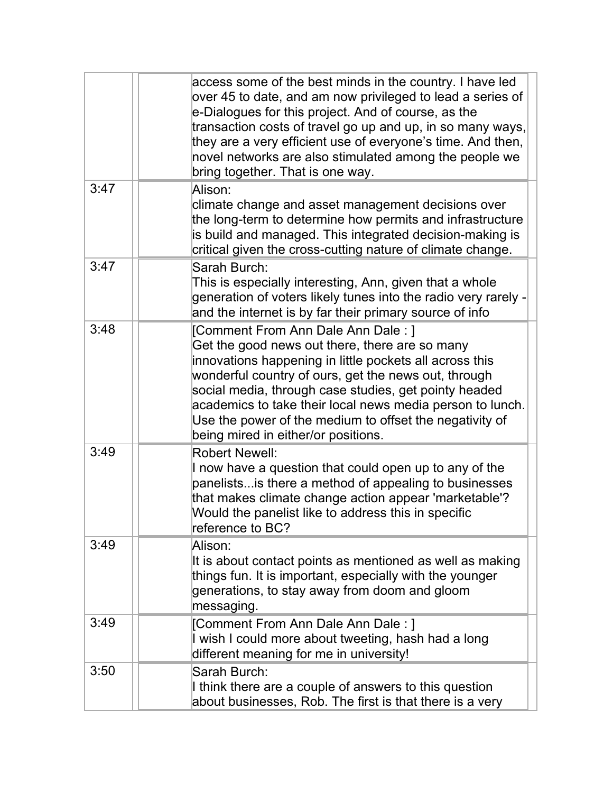|      | access some of the best minds in the country. I have led<br>over 45 to date, and am now privileged to lead a series of<br>e-Dialogues for this project. And of course, as the<br>transaction costs of travel go up and up, in so many ways,<br>they are a very efficient use of everyone's time. And then,<br>novel networks are also stimulated among the people we<br>bring together. That is one way.                         |
|------|----------------------------------------------------------------------------------------------------------------------------------------------------------------------------------------------------------------------------------------------------------------------------------------------------------------------------------------------------------------------------------------------------------------------------------|
| 3:47 | Alison:<br>climate change and asset management decisions over<br>the long-term to determine how permits and infrastructure<br>is build and managed. This integrated decision-making is<br>critical given the cross-cutting nature of climate change.                                                                                                                                                                             |
| 3:47 | Sarah Burch:<br>This is especially interesting, Ann, given that a whole<br>generation of voters likely tunes into the radio very rarely -<br>and the internet is by far their primary source of info                                                                                                                                                                                                                             |
| 3:48 | [Comment From Ann Dale Ann Dale : ]<br>Get the good news out there, there are so many<br>innovations happening in little pockets all across this<br>wonderful country of ours, get the news out, through<br>social media, through case studies, get pointy headed<br>academics to take their local news media person to lunch.<br>Use the power of the medium to offset the negativity of<br>being mired in either/or positions. |
| 3:49 | <b>Robert Newell:</b><br>I now have a question that could open up to any of the<br>panelists is there a method of appealing to businesses<br>that makes climate change action appear 'marketable'?<br>Would the panelist like to address this in specific<br>reference to BC?                                                                                                                                                    |
| 3:49 | Alison:<br>It is about contact points as mentioned as well as making<br>things fun. It is important, especially with the younger<br>generations, to stay away from doom and gloom<br>messaging.                                                                                                                                                                                                                                  |
| 3:49 | [Comment From Ann Dale Ann Dale : ]<br>I wish I could more about tweeting, hash had a long<br>different meaning for me in university!                                                                                                                                                                                                                                                                                            |
| 3:50 | Sarah Burch:<br>I think there are a couple of answers to this question<br>about businesses, Rob. The first is that there is a very                                                                                                                                                                                                                                                                                               |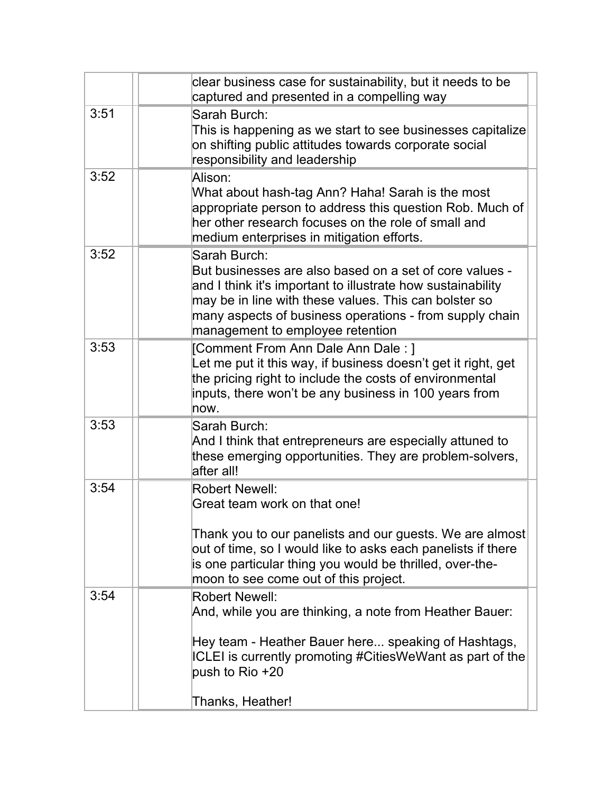|      | clear business case for sustainability, but it needs to be<br>captured and presented in a compelling way                                                                                                                                                                                       |
|------|------------------------------------------------------------------------------------------------------------------------------------------------------------------------------------------------------------------------------------------------------------------------------------------------|
| 3:51 | Sarah Burch:<br>This is happening as we start to see businesses capitalize<br>on shifting public attitudes towards corporate social<br>responsibility and leadership                                                                                                                           |
| 3:52 | Alison:<br>What about hash-tag Ann? Haha! Sarah is the most<br>appropriate person to address this question Rob. Much of<br>her other research focuses on the role of small and<br>medium enterprises in mitigation efforts.                                                                    |
| 3:52 | Sarah Burch:<br>But businesses are also based on a set of core values -<br>and I think it's important to illustrate how sustainability<br>may be in line with these values. This can bolster so<br>many aspects of business operations - from supply chain<br>management to employee retention |
| 3:53 | [Comment From Ann Dale Ann Dale: ]<br>Let me put it this way, if business doesn't get it right, get<br>the pricing right to include the costs of environmental<br>inputs, there won't be any business in 100 years from<br>now.                                                                |
| 3:53 | Sarah Burch:<br>And I think that entrepreneurs are especially attuned to<br>these emerging opportunities. They are problem-solvers,<br>after all!                                                                                                                                              |
| 3:54 | <b>Robert Newell:</b><br>Great team work on that one!<br>Thank you to our panelists and our guests. We are almost<br>out of time, so I would like to asks each panelists if there<br>is one particular thing you would be thrilled, over-the-<br>moon to see come out of this project.         |
| 3:54 | <b>Robert Newell:</b><br>And, while you are thinking, a note from Heather Bauer:<br>Hey team - Heather Bauer here speaking of Hashtags,<br><b>ICLEI</b> is currently promoting #CitiesWeWant as part of the<br>push to Rio +20<br>Thanks, Heather!                                             |